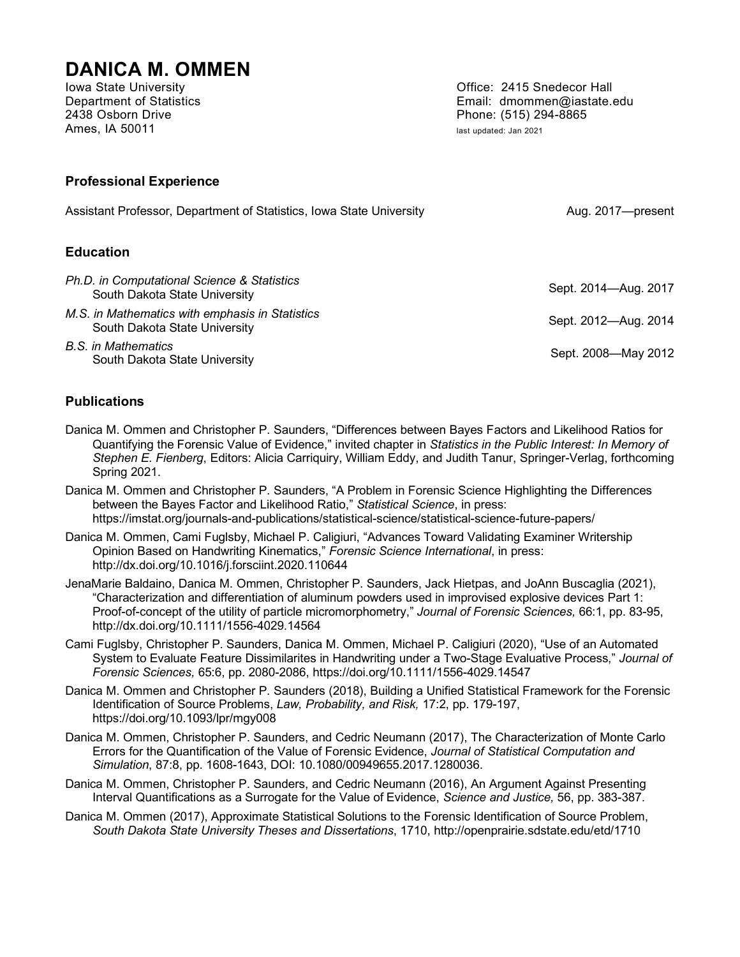# **DANICA M. OMMEN**<br>Iowa State University

2438 Osborn Drive Phone: (515) 294-8865 Ames, IA 50011 **and 2021 and 2021 last updated: Jan 2021** 

Office: 2415 Snedecor Hall Department of Statistics Email: dmommen@iastate.edu

#### **Professional Experience**

| Assistant Professor, Department of Statistics, Iowa State University             | Aug. 2017-present    |
|----------------------------------------------------------------------------------|----------------------|
| <b>Education</b>                                                                 |                      |
| Ph.D. in Computational Science & Statistics<br>South Dakota State University     | Sept. 2014-Aug. 2017 |
| M.S. in Mathematics with emphasis in Statistics<br>South Dakota State University | Sept. 2012—Aug. 2014 |
| R S in Mathematics                                                               |                      |

*B.S. in Mathematics* m mamematics<br>South Dakota State University Sept. 2008—May 2012

#### **Publications**

- Danica M. Ommen and Christopher P. Saunders, "Differences between Bayes Factors and Likelihood Ratios for Quantifying the Forensic Value of Evidence," invited chapter in *Statistics in the Public Interest: In Memory of Stephen E. Fienberg*, Editors: Alicia Carriquiry, William Eddy, and Judith Tanur, Springer-Verlag, forthcoming Spring 2021.
- Danica M. Ommen and Christopher P. Saunders, "A Problem in Forensic Science Highlighting the Differences between the Bayes Factor and Likelihood Ratio," *Statistical Science*, in press: https://imstat.org/journals-and-publications/statistical-science/statistical-science-future-papers/
- Danica M. Ommen, Cami Fuglsby, Michael P. Caligiuri, "Advances Toward Validating Examiner Writership Opinion Based on Handwriting Kinematics," *Forensic Science International*, in press: http://dx.doi.org/10.1016/j.forsciint.2020.110644
- JenaMarie Baldaino, Danica M. Ommen, Christopher P. Saunders, Jack Hietpas, and JoAnn Buscaglia (2021), "Characterization and differentiation of aluminum powders used in improvised explosive devices Part 1: Proof-of-concept of the utility of particle micromorphometry," *Journal of Forensic Sciences,* 66:1, pp. 83-95, http://dx.doi.org/10.1111/1556-4029.14564
- Cami Fuglsby, Christopher P. Saunders, Danica M. Ommen, Michael P. Caligiuri (2020), "Use of an Automated System to Evaluate Feature Dissimilarites in Handwriting under a Two-Stage Evaluative Process," *Journal of Forensic Sciences,* 65:6, pp. 2080-2086, https://doi.org/10.1111/1556-4029.14547
- Danica M. Ommen and Christopher P. Saunders (2018), Building a Unified Statistical Framework for the Forensic Identification of Source Problems, *Law, Probability, and Risk,* 17:2, pp. 179-197, https://doi.org/10.1093/lpr/mgy008
- Danica M. Ommen, Christopher P. Saunders, and Cedric Neumann (2017), The Characterization of Monte Carlo Errors for the Quantification of the Value of Forensic Evidence, *Journal of Statistical Computation and Simulation*, 87:8, pp. 1608-1643, DOI: 10.1080/00949655.2017.1280036.
- Danica M. Ommen, Christopher P. Saunders, and Cedric Neumann (2016), An Argument Against Presenting Interval Quantifications as a Surrogate for the Value of Evidence, *Science and Justice,* 56, pp. 383-387.
- Danica M. Ommen (2017), Approximate Statistical Solutions to the Forensic Identification of Source Problem, *South Dakota State University Theses and Dissertations*, 1710, http://openprairie.sdstate.edu/etd/1710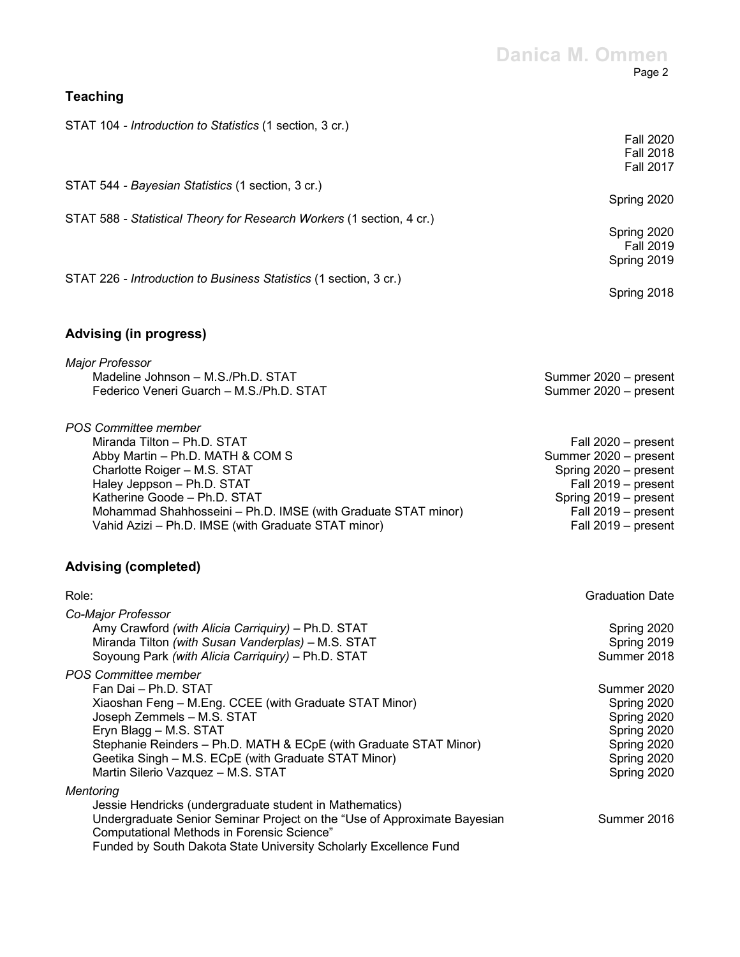# **Danica M. Ommen** Page 2

Spring 2018

| STAT 104 - <i>Introduction to Statistics</i> (1 section, 3 cr.)       |                  |
|-----------------------------------------------------------------------|------------------|
|                                                                       | <b>Fall 2020</b> |
|                                                                       | <b>Fall 2018</b> |
|                                                                       | <b>Fall 2017</b> |
| STAT 544 - Bayesian Statistics (1 section, 3 cr.)                     |                  |
|                                                                       | Spring 2020      |
| STAT 588 - Statistical Theory for Research Workers (1 section, 4 cr.) |                  |
|                                                                       | Spring 2020      |
|                                                                       | <b>Fall 2019</b> |
|                                                                       | Spring 2019      |
|                                                                       |                  |
| STAT 226 - Introduction to Business Statistics (1 section, 3 cr.)     |                  |

# **Advising (in progress)**

**Teaching** 

| Summer 2020 - present |
|-----------------------|
| Summer 2020 - present |
|                       |
| Fall 2020 - present   |
| Summer 2020 - present |
| Spring 2020 - present |
| Fall 2019 - present   |
| Spring 2019 – present |
| Fall 2019 - present   |
| Fall 2019 - present   |
|                       |

# **Advising (completed)**

| Role:                                                                    | <b>Graduation Date</b> |
|--------------------------------------------------------------------------|------------------------|
| Co-Major Professor                                                       |                        |
| Amy Crawford (with Alicia Carriguiry) - Ph.D. STAT                       | Spring 2020            |
| Miranda Tilton (with Susan Vanderplas) - M.S. STAT                       | Spring 2019            |
| Soyoung Park (with Alicia Carriquiry) - Ph.D. STAT                       | Summer 2018            |
| POS Committee member                                                     |                        |
| Fan Dai - Ph.D. STAT                                                     | Summer 2020            |
| Xiaoshan Feng - M.Eng. CCEE (with Graduate STAT Minor)                   | Spring 2020            |
| Joseph Zemmels - M.S. STAT                                               | Spring 2020            |
| Eryn Blagg - M.S. STAT                                                   | Spring 2020            |
| Stephanie Reinders - Ph.D. MATH & ECpE (with Graduate STAT Minor)        | Spring 2020            |
| Geetika Singh - M.S. ECpE (with Graduate STAT Minor)                     | Spring 2020            |
| Martin Silerio Vazquez - M.S. STAT                                       | Spring 2020            |
| Mentoring                                                                |                        |
| Jessie Hendricks (undergraduate student in Mathematics)                  |                        |
| Undergraduate Senior Seminar Project on the "Use of Approximate Bayesian | Summer 2016            |
| Computational Methods in Forensic Science"                               |                        |
| Funded by South Dakota State University Scholarly Excellence Fund        |                        |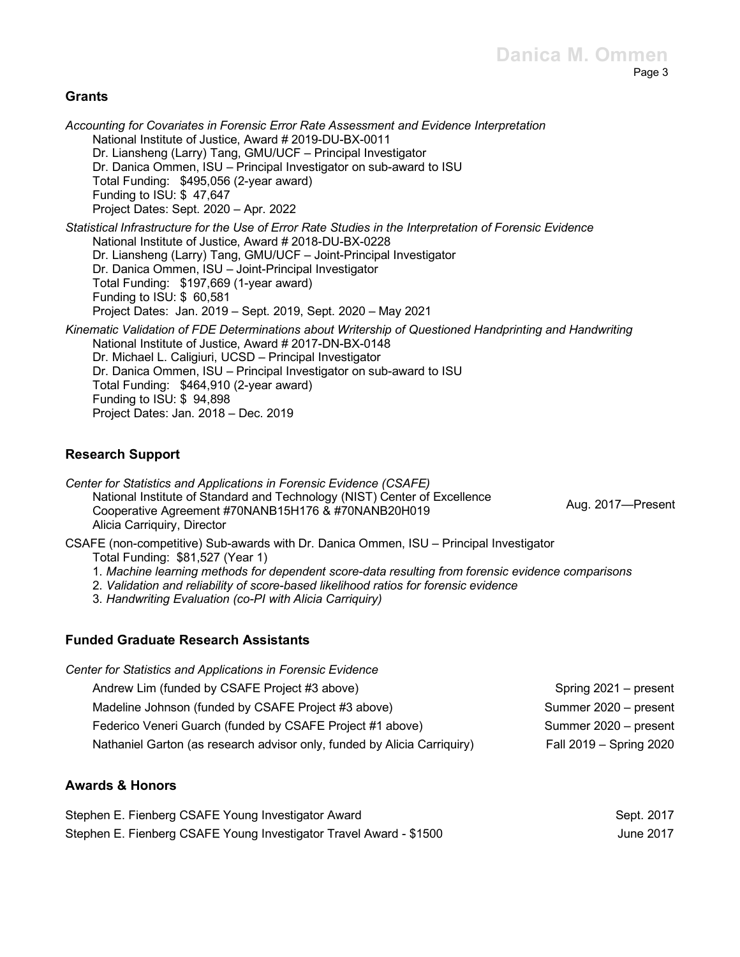#### **Grants**

*Accounting for Covariates in Forensic Error Rate Assessment and Evidence Interpretation* National Institute of Justice, Award # 2019-DU-BX-0011 Dr. Liansheng (Larry) Tang, GMU/UCF – Principal Investigator Dr. Danica Ommen, ISU – Principal Investigator on sub-award to ISU Total Funding: \$495,056 (2-year award) Funding to ISU: \$ 47,647 Project Dates: Sept. 2020 – Apr. 2022 *Statistical Infrastructure for the Use of Error Rate Studies in the Interpretation of Forensic Evidence* National Institute of Justice, Award # 2018-DU-BX-0228 Dr. Liansheng (Larry) Tang, GMU/UCF – Joint-Principal Investigator Dr. Danica Ommen, ISU – Joint-Principal Investigator Total Funding: \$197,669 (1-year award) Funding to ISU: \$ 60,581 Project Dates: Jan. 2019 – Sept. 2019, Sept. 2020 – May 2021 *Kinematic Validation of FDE Determinations about Writership of Questioned Handprinting and Handwriting* National Institute of Justice, Award # 2017-DN-BX-0148 Dr. Michael L. Caligiuri, UCSD – Principal Investigator Dr. Danica Ommen, ISU – Principal Investigator on sub-award to ISU Total Funding: \$464,910 (2-year award) Funding to ISU: \$ 94,898 Project Dates: Jan. 2018 – Dec. 2019

#### **Research Support**

*Center for Statistics and Applications in Forensic Evidence (CSAFE)* National Institute of Standard and Technology (NIST) Center of Excellence Cooperative Agreement #70NANB15H176 & #70NANB20H019 Alicia Carriquiry, Director

Aug. 2017—Present

CSAFE (non-competitive) Sub-awards with Dr. Danica Ommen, ISU – Principal Investigator

Total Funding: \$81,527 (Year 1)

- 1. *Machine learning methods for dependent score-data resulting from forensic evidence comparisons*
- 2. *Validation and reliability of score-based likelihood ratios for forensic evidence*
- 3. *Handwriting Evaluation (co-PI with Alicia Carriquiry)*

#### **Funded Graduate Research Assistants**

| Center for Statistics and Applications in Forensic Evidence              |                         |
|--------------------------------------------------------------------------|-------------------------|
| Andrew Lim (funded by CSAFE Project #3 above)                            | Spring 2021 – present   |
| Madeline Johnson (funded by CSAFE Project #3 above)                      | Summer 2020 - present   |
| Federico Veneri Guarch (funded by CSAFE Project #1 above)                | Summer 2020 - present   |
| Nathaniel Garton (as research advisor only, funded by Alicia Carriquiry) | Fall 2019 - Spring 2020 |

#### **Awards & Honors**

| Stephen E. Fienberg CSAFE Young Investigator Award                 | Sept. 2017 |
|--------------------------------------------------------------------|------------|
| Stephen E. Fienberg CSAFE Young Investigator Travel Award - \$1500 | June 2017  |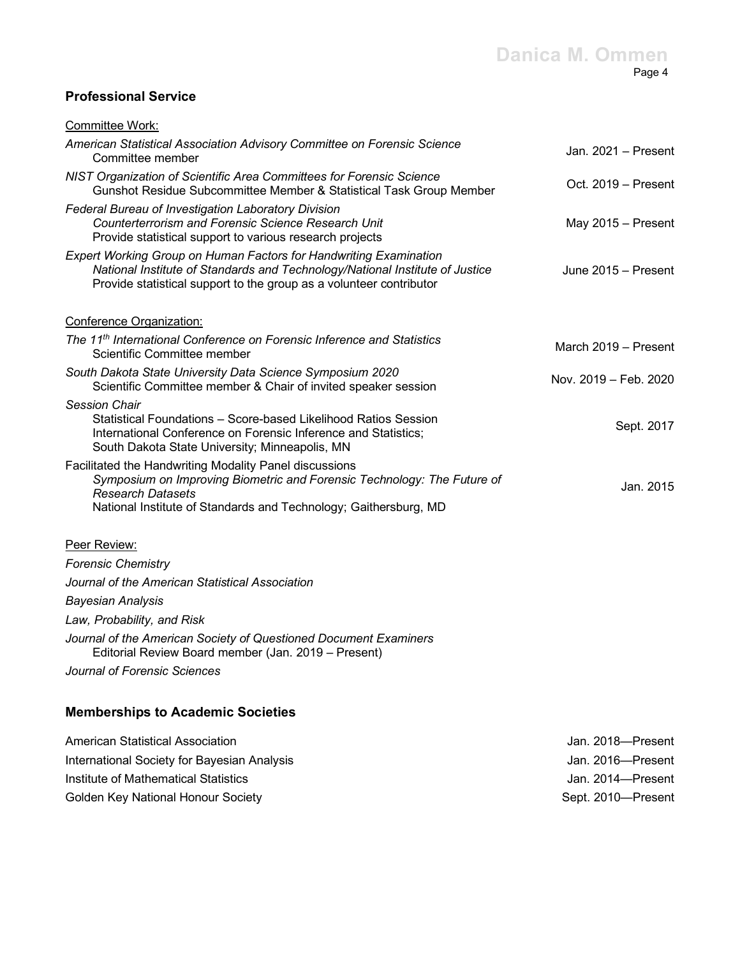# **Professional Service**

| Committee Work:                                                                                                                                                                                                                   |                       |
|-----------------------------------------------------------------------------------------------------------------------------------------------------------------------------------------------------------------------------------|-----------------------|
| American Statistical Association Advisory Committee on Forensic Science<br>Committee member                                                                                                                                       | Jan. 2021 - Present   |
| NIST Organization of Scientific Area Committees for Forensic Science<br>Gunshot Residue Subcommittee Member & Statistical Task Group Member                                                                                       | Oct. 2019 - Present   |
| Federal Bureau of Investigation Laboratory Division<br>Counterterrorism and Forensic Science Research Unit<br>Provide statistical support to various research projects                                                            | May 2015 - Present    |
| <b>Expert Working Group on Human Factors for Handwriting Examination</b><br>National Institute of Standards and Technology/National Institute of Justice<br>Provide statistical support to the group as a volunteer contributor   | June 2015 - Present   |
| Conference Organization:                                                                                                                                                                                                          |                       |
| The 11 <sup>th</sup> International Conference on Forensic Inference and Statistics<br>Scientific Committee member                                                                                                                 | March 2019 - Present  |
| South Dakota State University Data Science Symposium 2020<br>Scientific Committee member & Chair of invited speaker session                                                                                                       | Nov. 2019 - Feb. 2020 |
| <b>Session Chair</b><br>Statistical Foundations - Score-based Likelihood Ratios Session<br>International Conference on Forensic Inference and Statistics;<br>South Dakota State University; Minneapolis, MN                       | Sept. 2017            |
| Facilitated the Handwriting Modality Panel discussions<br>Symposium on Improving Biometric and Forensic Technology: The Future of<br><b>Research Datasets</b><br>National Institute of Standards and Technology; Gaithersburg, MD | Jan. 2015             |
| Peer Review:                                                                                                                                                                                                                      |                       |
| <b>Forensic Chemistry</b>                                                                                                                                                                                                         |                       |
| Journal of the American Statistical Association                                                                                                                                                                                   |                       |
| <b>Bayesian Analysis</b>                                                                                                                                                                                                          |                       |
| Law, Probability, and Risk                                                                                                                                                                                                        |                       |
| Journal of the American Society of Questioned Document Examiners<br>Editorial Review Board member (Jan. 2019 - Present)                                                                                                           |                       |
| Journal of Forensic Sciences                                                                                                                                                                                                      |                       |
| <b>Memberships to Academic Societies</b>                                                                                                                                                                                          |                       |
| American Statistical Association                                                                                                                                                                                                  | Jan. 2018-Present     |
| International Society for Bayesian Analysis                                                                                                                                                                                       | Jan. 2016-Present     |
| Institute of Mathematical Statistics                                                                                                                                                                                              | Jan. 2014-Present     |

Golden Key National Honour Society Sept. 2010—Present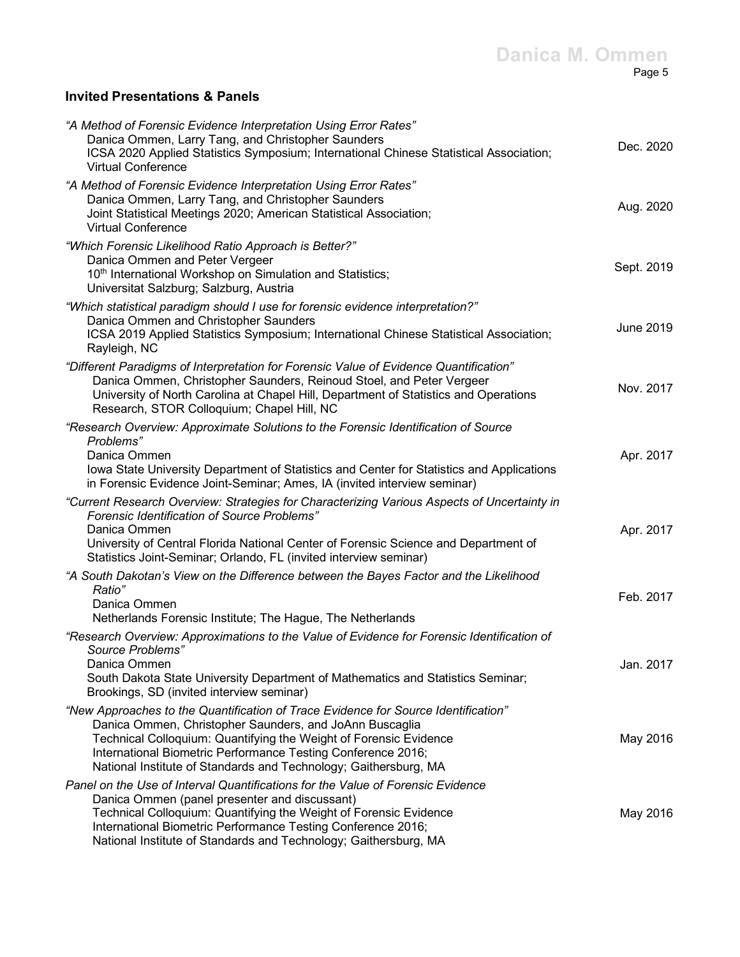## **Invited Presentations & Panels**

| "A Method of Forensic Evidence Interpretation Using Error Rates"<br>Danica Ommen, Larry Tang, and Christopher Saunders<br>ICSA 2020 Applied Statistics Symposium; International Chinese Statistical Association;<br><b>Virtual Conference</b>                                                                                                          | Dec. 2020        |
|--------------------------------------------------------------------------------------------------------------------------------------------------------------------------------------------------------------------------------------------------------------------------------------------------------------------------------------------------------|------------------|
| "A Method of Forensic Evidence Interpretation Using Error Rates"<br>Danica Ommen, Larry Tang, and Christopher Saunders<br>Joint Statistical Meetings 2020; American Statistical Association;<br><b>Virtual Conference</b>                                                                                                                              | Aug. 2020        |
| "Which Forensic Likelihood Ratio Approach is Better?"<br>Danica Ommen and Peter Vergeer<br>10th International Workshop on Simulation and Statistics;<br>Universitat Salzburg; Salzburg, Austria                                                                                                                                                        | Sept. 2019       |
| "Which statistical paradigm should I use for forensic evidence interpretation?"<br>Danica Ommen and Christopher Saunders<br>ICSA 2019 Applied Statistics Symposium; International Chinese Statistical Association;<br>Rayleigh, NC                                                                                                                     | <b>June 2019</b> |
| "Different Paradigms of Interpretation for Forensic Value of Evidence Quantification"<br>Danica Ommen, Christopher Saunders, Reinoud Stoel, and Peter Vergeer<br>University of North Carolina at Chapel Hill, Department of Statistics and Operations<br>Research, STOR Colloquium; Chapel Hill, NC                                                    | Nov. 2017        |
| "Research Overview: Approximate Solutions to the Forensic Identification of Source<br>Problems"<br>Danica Ommen<br>Iowa State University Department of Statistics and Center for Statistics and Applications<br>in Forensic Evidence Joint-Seminar; Ames, IA (invited interview seminar)                                                               | Apr. 2017        |
| "Current Research Overview: Strategies for Characterizing Various Aspects of Uncertainty in<br><b>Forensic Identification of Source Problems"</b><br>Danica Ommen<br>University of Central Florida National Center of Forensic Science and Department of<br>Statistics Joint-Seminar; Orlando, FL (invited interview seminar)                          | Apr. 2017        |
| "A South Dakotan's View on the Difference between the Bayes Factor and the Likelihood<br>Ratio"<br>Danica Ommen<br>Netherlands Forensic Institute; The Hague, The Netherlands                                                                                                                                                                          | Feb. 2017        |
| "Research Overview: Approximations to the Value of Evidence for Forensic Identification of<br>Source Problems"<br>Danica Ommen<br>South Dakota State University Department of Mathematics and Statistics Seminar;<br>Brookings, SD (invited interview seminar)                                                                                         | Jan. 2017        |
| "New Approaches to the Quantification of Trace Evidence for Source Identification"<br>Danica Ommen, Christopher Saunders, and JoAnn Buscaglia<br>Technical Colloquium: Quantifying the Weight of Forensic Evidence<br>International Biometric Performance Testing Conference 2016;<br>National Institute of Standards and Technology; Gaithersburg, MA | May 2016         |
| Panel on the Use of Interval Quantifications for the Value of Forensic Evidence<br>Danica Ommen (panel presenter and discussant)<br>Technical Colloquium: Quantifying the Weight of Forensic Evidence<br>International Biometric Performance Testing Conference 2016;<br>National Institute of Standards and Technology; Gaithersburg, MA              | May 2016         |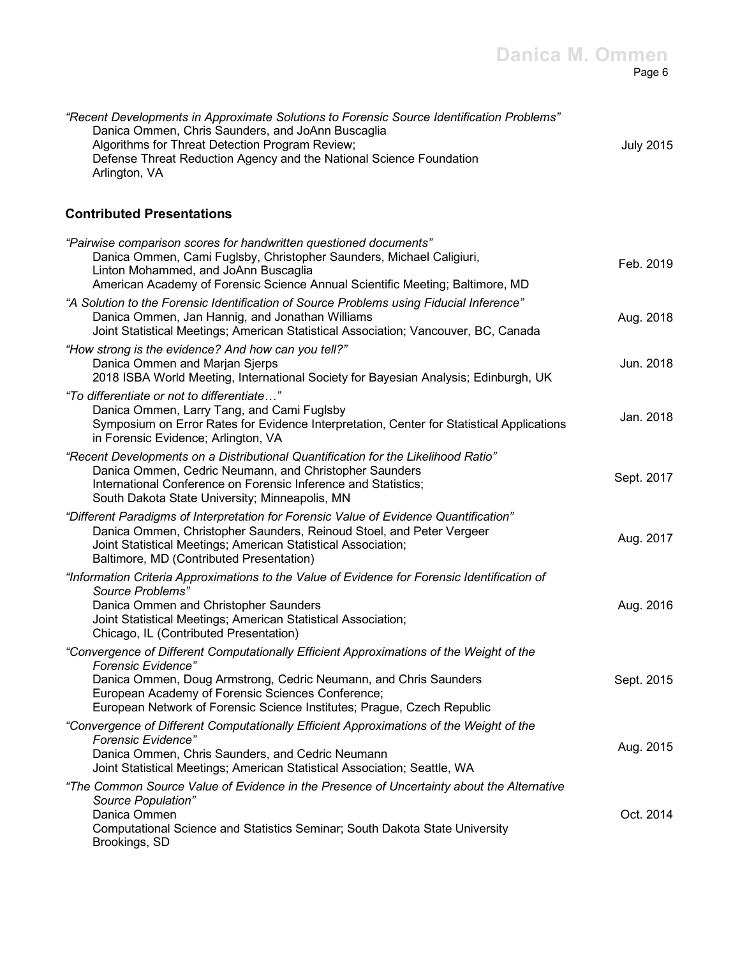| "Recent Developments in Approximate Solutions to Forensic Source Identification Problems" |           |
|-------------------------------------------------------------------------------------------|-----------|
| Danica Ommen, Chris Saunders, and JoAnn Buscaglia                                         |           |
| Algorithms for Threat Detection Program Review;                                           | July 2015 |
| Defense Threat Reduction Agency and the National Science Foundation                       |           |
| Arlington, VA                                                                             |           |

### **Contributed Presentations**

| "Pairwise comparison scores for handwritten questioned documents"<br>Danica Ommen, Cami Fuglsby, Christopher Saunders, Michael Caligiuri,<br>Linton Mohammed, and JoAnn Buscaglia<br>American Academy of Forensic Science Annual Scientific Meeting; Baltimore, MD                                                | Feb. 2019  |
|-------------------------------------------------------------------------------------------------------------------------------------------------------------------------------------------------------------------------------------------------------------------------------------------------------------------|------------|
| "A Solution to the Forensic Identification of Source Problems using Fiducial Inference"<br>Danica Ommen, Jan Hannig, and Jonathan Williams<br>Joint Statistical Meetings; American Statistical Association; Vancouver, BC, Canada                                                                                 | Aug. 2018  |
| "How strong is the evidence? And how can you tell?"<br>Danica Ommen and Marjan Sjerps<br>2018 ISBA World Meeting, International Society for Bayesian Analysis; Edinburgh, UK                                                                                                                                      | Jun. 2018  |
| "To differentiate or not to differentiate"<br>Danica Ommen, Larry Tang, and Cami Fuglsby<br>Symposium on Error Rates for Evidence Interpretation, Center for Statistical Applications<br>in Forensic Evidence; Arlington, VA                                                                                      | Jan. 2018  |
| "Recent Developments on a Distributional Quantification for the Likelihood Ratio"<br>Danica Ommen, Cedric Neumann, and Christopher Saunders<br>International Conference on Forensic Inference and Statistics;<br>South Dakota State University; Minneapolis, MN                                                   | Sept. 2017 |
| "Different Paradigms of Interpretation for Forensic Value of Evidence Quantification"<br>Danica Ommen, Christopher Saunders, Reinoud Stoel, and Peter Vergeer<br>Joint Statistical Meetings; American Statistical Association;<br>Baltimore, MD (Contributed Presentation)                                        | Aug. 2017  |
| "Information Criteria Approximations to the Value of Evidence for Forensic Identification of<br>Source Problems"<br>Danica Ommen and Christopher Saunders<br>Joint Statistical Meetings; American Statistical Association;<br>Chicago, IL (Contributed Presentation)                                              | Aug. 2016  |
| "Convergence of Different Computationally Efficient Approximations of the Weight of the<br>Forensic Evidence"<br>Danica Ommen, Doug Armstrong, Cedric Neumann, and Chris Saunders<br>European Academy of Forensic Sciences Conference;<br>European Network of Forensic Science Institutes; Prague, Czech Republic | Sept. 2015 |
| "Convergence of Different Computationally Efficient Approximations of the Weight of the<br><b>Forensic Evidence"</b><br>Danica Ommen, Chris Saunders, and Cedric Neumann<br>Joint Statistical Meetings; American Statistical Association; Seattle, WA                                                             | Aug. 2015  |
| "The Common Source Value of Evidence in the Presence of Uncertainty about the Alternative<br>Source Population"<br>Danica Ommen<br>Computational Science and Statistics Seminar; South Dakota State University<br>Brookings, SD                                                                                   | Oct. 2014  |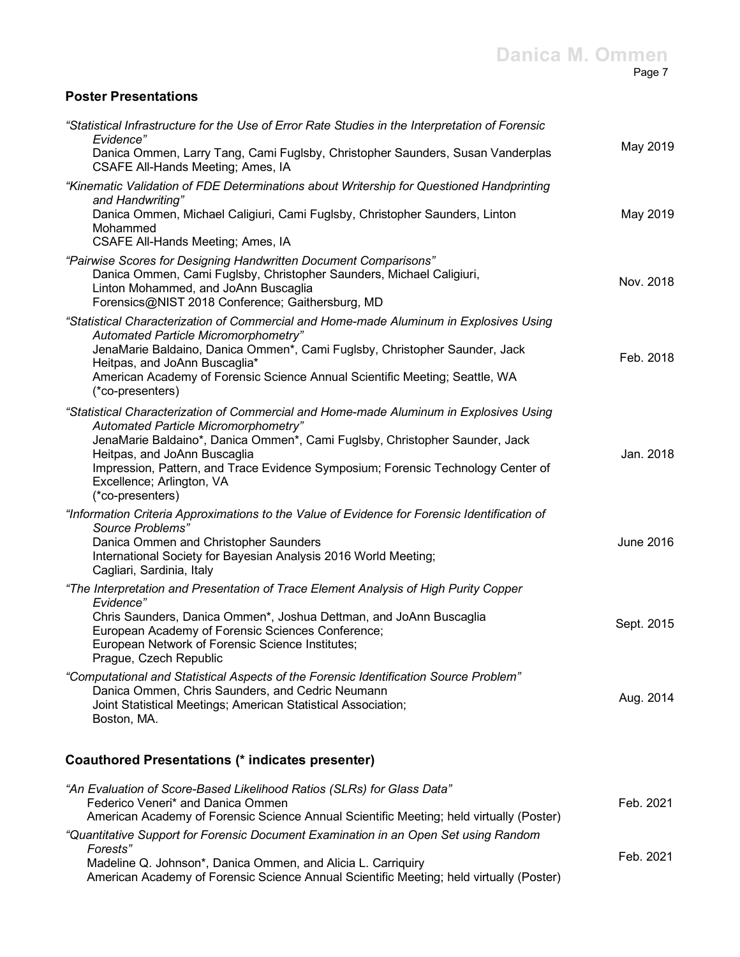#### **Danica M. Ommen** Page 7

## **Poster Presentations**

| "Statistical Infrastructure for the Use of Error Rate Studies in the Interpretation of Forensic<br>Evidence"<br>Danica Ommen, Larry Tang, Cami Fuglsby, Christopher Saunders, Susan Vanderplas<br>CSAFE All-Hands Meeting; Ames, IA                                                                                                                                                | May 2019         |
|------------------------------------------------------------------------------------------------------------------------------------------------------------------------------------------------------------------------------------------------------------------------------------------------------------------------------------------------------------------------------------|------------------|
| "Kinematic Validation of FDE Determinations about Writership for Questioned Handprinting<br>and Handwriting"<br>Danica Ommen, Michael Caligiuri, Cami Fuglsby, Christopher Saunders, Linton<br>Mohammed<br>CSAFE All-Hands Meeting; Ames, IA                                                                                                                                       | May 2019         |
| "Pairwise Scores for Designing Handwritten Document Comparisons"<br>Danica Ommen, Cami Fuglsby, Christopher Saunders, Michael Caligiuri,<br>Linton Mohammed, and JoAnn Buscaglia<br>Forensics@NIST 2018 Conference; Gaithersburg, MD                                                                                                                                               | Nov. 2018        |
| "Statistical Characterization of Commercial and Home-made Aluminum in Explosives Using<br>Automated Particle Micromorphometry"<br>JenaMarie Baldaino, Danica Ommen*, Cami Fuglsby, Christopher Saunder, Jack<br>Heitpas, and JoAnn Buscaglia*<br>American Academy of Forensic Science Annual Scientific Meeting; Seattle, WA<br>(*co-presenters)                                   | Feb. 2018        |
| "Statistical Characterization of Commercial and Home-made Aluminum in Explosives Using<br>Automated Particle Micromorphometry"<br>JenaMarie Baldaino*, Danica Ommen*, Cami Fuglsby, Christopher Saunder, Jack<br>Heitpas, and JoAnn Buscaglia<br>Impression, Pattern, and Trace Evidence Symposium; Forensic Technology Center of<br>Excellence; Arlington, VA<br>(*co-presenters) | Jan. 2018        |
| "Information Criteria Approximations to the Value of Evidence for Forensic Identification of<br>Source Problems"<br>Danica Ommen and Christopher Saunders<br>International Society for Bayesian Analysis 2016 World Meeting;<br>Cagliari, Sardinia, Italy                                                                                                                          | <b>June 2016</b> |
| "The Interpretation and Presentation of Trace Element Analysis of High Purity Copper<br>Evidence"<br>Chris Saunders, Danica Ommen*, Joshua Dettman, and JoAnn Buscaglia<br>European Academy of Forensic Sciences Conference;<br>European Network of Forensic Science Institutes;<br>Prague, Czech Republic                                                                         | Sept. 2015       |
| "Computational and Statistical Aspects of the Forensic Identification Source Problem"<br>Danica Ommen, Chris Saunders, and Cedric Neumann<br>Joint Statistical Meetings; American Statistical Association;<br>Boston, MA.                                                                                                                                                          | Aug. 2014        |
| <b>Coauthored Presentations (* indicates presenter)</b>                                                                                                                                                                                                                                                                                                                            |                  |

| "An Evaluation of Score-Based Likelihood Ratios (SLRs) for Glass Data"<br>Federico Veneri* and Danica Ommen<br>American Academy of Forensic Science Annual Scientific Meeting; held virtually (Poster) | Feb. 2021 |
|--------------------------------------------------------------------------------------------------------------------------------------------------------------------------------------------------------|-----------|
| "Quantitative Support for Forensic Document Examination in an Open Set using Random<br>Forests"                                                                                                        |           |
| Madeline Q. Johnson*, Danica Ommen, and Alicia L. Carriquiry<br>American Academy of Forensic Science Annual Scientific Meeting; held virtually (Poster)                                                | Feb. 2021 |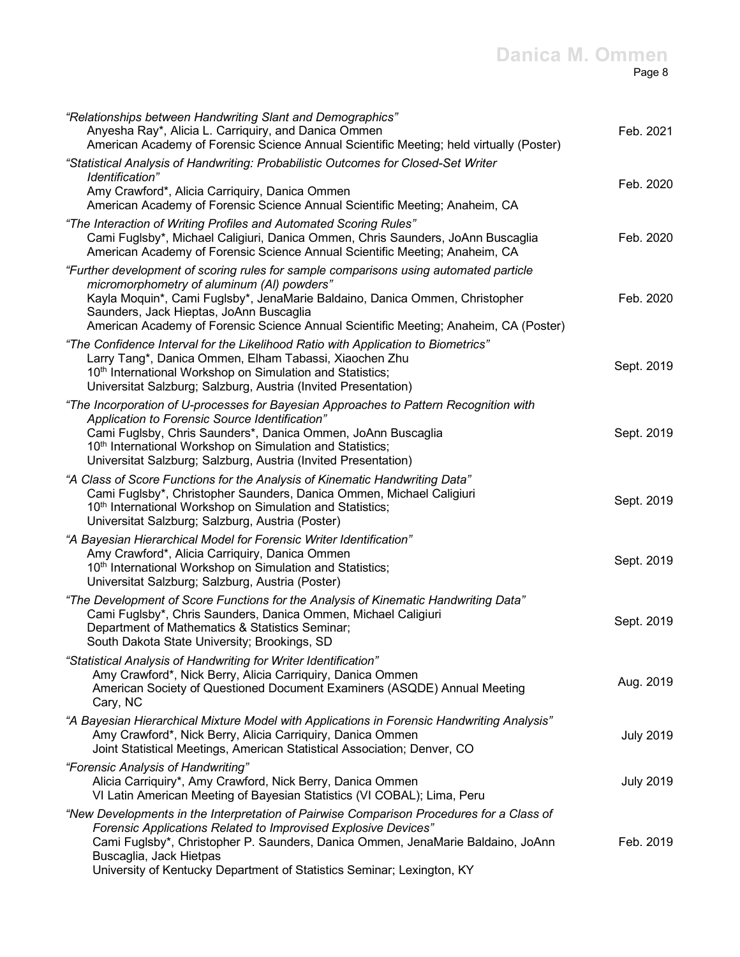| "Relationships between Handwriting Slant and Demographics"<br>Anyesha Ray*, Alicia L. Carriquiry, and Danica Ommen<br>American Academy of Forensic Science Annual Scientific Meeting; held virtually (Poster)                                                                                                                                         | Feb. 2021        |
|-------------------------------------------------------------------------------------------------------------------------------------------------------------------------------------------------------------------------------------------------------------------------------------------------------------------------------------------------------|------------------|
| "Statistical Analysis of Handwriting: Probabilistic Outcomes for Closed-Set Writer<br><i>Identification"</i><br>Amy Crawford*, Alicia Carriquiry, Danica Ommen<br>American Academy of Forensic Science Annual Scientific Meeting; Anaheim, CA                                                                                                         | Feb. 2020        |
| "The Interaction of Writing Profiles and Automated Scoring Rules"<br>Cami Fuglsby*, Michael Caligiuri, Danica Ommen, Chris Saunders, JoAnn Buscaglia<br>American Academy of Forensic Science Annual Scientific Meeting; Anaheim, CA                                                                                                                   | Feb. 2020        |
| "Further development of scoring rules for sample comparisons using automated particle<br>micromorphometry of aluminum (AI) powders"<br>Kayla Moquin*, Cami Fuglsby*, JenaMarie Baldaino, Danica Ommen, Christopher<br>Saunders, Jack Hieptas, JoAnn Buscaglia<br>American Academy of Forensic Science Annual Scientific Meeting; Anaheim, CA (Poster) | Feb. 2020        |
| "The Confidence Interval for the Likelihood Ratio with Application to Biometrics"<br>Larry Tang*, Danica Ommen, Elham Tabassi, Xiaochen Zhu<br>10th International Workshop on Simulation and Statistics;<br>Universitat Salzburg; Salzburg, Austria (Invited Presentation)                                                                            | Sept. 2019       |
| "The Incorporation of U-processes for Bayesian Approaches to Pattern Recognition with<br>Application to Forensic Source Identification"<br>Cami Fuglsby, Chris Saunders*, Danica Ommen, JoAnn Buscaglia<br>10 <sup>th</sup> International Workshop on Simulation and Statistics;<br>Universitat Salzburg; Salzburg, Austria (Invited Presentation)    | Sept. 2019       |
| "A Class of Score Functions for the Analysis of Kinematic Handwriting Data"<br>Cami Fuglsby*, Christopher Saunders, Danica Ommen, Michael Caligiuri<br>10 <sup>th</sup> International Workshop on Simulation and Statistics;<br>Universitat Salzburg; Salzburg, Austria (Poster)                                                                      | Sept. 2019       |
| "A Bayesian Hierarchical Model for Forensic Writer Identification"<br>Amy Crawford*, Alicia Carriquiry, Danica Ommen<br>10 <sup>th</sup> International Workshop on Simulation and Statistics;<br>Universitat Salzburg; Salzburg, Austria (Poster)                                                                                                     | Sept. 2019       |
| "The Development of Score Functions for the Analysis of Kinematic Handwriting Data"<br>Cami Fuglsby*, Chris Saunders, Danica Ommen, Michael Caligiuri<br>Department of Mathematics & Statistics Seminar;<br>South Dakota State University; Brookings, SD                                                                                              | Sept. 2019       |
| "Statistical Analysis of Handwriting for Writer Identification"<br>Amy Crawford*, Nick Berry, Alicia Carriquiry, Danica Ommen<br>American Society of Questioned Document Examiners (ASQDE) Annual Meeting<br>Cary, NC                                                                                                                                 | Aug. 2019        |
| "A Bayesian Hierarchical Mixture Model with Applications in Forensic Handwriting Analysis"<br>Amy Crawford*, Nick Berry, Alicia Carriquiry, Danica Ommen<br>Joint Statistical Meetings, American Statistical Association; Denver, CO                                                                                                                  | <b>July 2019</b> |
| "Forensic Analysis of Handwriting"<br>Alicia Carriquiry*, Amy Crawford, Nick Berry, Danica Ommen<br>VI Latin American Meeting of Bayesian Statistics (VI COBAL); Lima, Peru                                                                                                                                                                           | <b>July 2019</b> |
| "New Developments in the Interpretation of Pairwise Comparison Procedures for a Class of<br>Forensic Applications Related to Improvised Explosive Devices"<br>Cami Fuglsby*, Christopher P. Saunders, Danica Ommen, JenaMarie Baldaino, JoAnn<br>Buscaglia, Jack Hietpas<br>University of Kentucky Department of Statistics Seminar; Lexington, KY    | Feb. 2019        |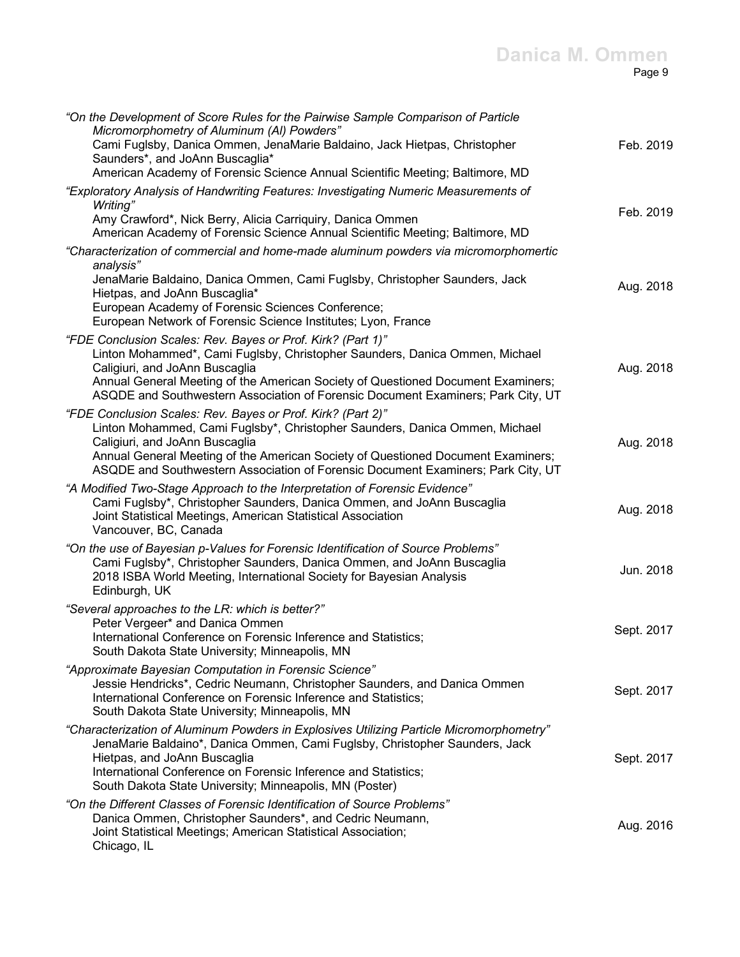#### **Danica M. Ommen** Page 9

| "On the Development of Score Rules for the Pairwise Sample Comparison of Particle<br>Micromorphometry of Aluminum (AI) Powders"                                                                                                                                                                                                                      |            |
|------------------------------------------------------------------------------------------------------------------------------------------------------------------------------------------------------------------------------------------------------------------------------------------------------------------------------------------------------|------------|
| Cami Fuglsby, Danica Ommen, JenaMarie Baldaino, Jack Hietpas, Christopher<br>Saunders*, and JoAnn Buscaglia*<br>American Academy of Forensic Science Annual Scientific Meeting; Baltimore, MD                                                                                                                                                        | Feb. 2019  |
| "Exploratory Analysis of Handwriting Features: Investigating Numeric Measurements of                                                                                                                                                                                                                                                                 |            |
| Writing"<br>Amy Crawford*, Nick Berry, Alicia Carriquiry, Danica Ommen<br>American Academy of Forensic Science Annual Scientific Meeting; Baltimore, MD                                                                                                                                                                                              | Feb. 2019  |
| "Characterization of commercial and home-made aluminum powders via micromorphomertic                                                                                                                                                                                                                                                                 |            |
| analysis"<br>JenaMarie Baldaino, Danica Ommen, Cami Fuglsby, Christopher Saunders, Jack<br>Hietpas, and JoAnn Buscaglia*<br>European Academy of Forensic Sciences Conference;<br>European Network of Forensic Science Institutes; Lyon, France                                                                                                       | Aug. 2018  |
| "FDE Conclusion Scales: Rev. Bayes or Prof. Kirk? (Part 1)"                                                                                                                                                                                                                                                                                          |            |
| Linton Mohammed*, Cami Fuglsby, Christopher Saunders, Danica Ommen, Michael<br>Caligiuri, and JoAnn Buscaglia<br>Annual General Meeting of the American Society of Questioned Document Examiners;<br>ASQDE and Southwestern Association of Forensic Document Examiners; Park City, UT                                                                | Aug. 2018  |
| "FDE Conclusion Scales: Rev. Bayes or Prof. Kirk? (Part 2)"<br>Linton Mohammed, Cami Fuglsby*, Christopher Saunders, Danica Ommen, Michael<br>Caligiuri, and JoAnn Buscaglia<br>Annual General Meeting of the American Society of Questioned Document Examiners;<br>ASQDE and Southwestern Association of Forensic Document Examiners; Park City, UT | Aug. 2018  |
| "A Modified Two-Stage Approach to the Interpretation of Forensic Evidence"<br>Cami Fuglsby*, Christopher Saunders, Danica Ommen, and JoAnn Buscaglia<br>Joint Statistical Meetings, American Statistical Association<br>Vancouver, BC, Canada                                                                                                        | Aug. 2018  |
| "On the use of Bayesian p-Values for Forensic Identification of Source Problems"<br>Cami Fuglsby*, Christopher Saunders, Danica Ommen, and JoAnn Buscaglia<br>2018 ISBA World Meeting, International Society for Bayesian Analysis<br>Edinburgh, UK                                                                                                  | Jun. 2018  |
| "Several approaches to the LR: which is better?"                                                                                                                                                                                                                                                                                                     |            |
| Peter Vergeer* and Danica Ommen<br>International Conference on Forensic Inference and Statistics;<br>South Dakota State University; Minneapolis, MN                                                                                                                                                                                                  | Sept. 2017 |
| "Approximate Bayesian Computation in Forensic Science"<br>Jessie Hendricks*, Cedric Neumann, Christopher Saunders, and Danica Ommen<br>International Conference on Forensic Inference and Statistics;<br>South Dakota State University; Minneapolis, MN                                                                                              | Sept. 2017 |
| "Characterization of Aluminum Powders in Explosives Utilizing Particle Micromorphometry"                                                                                                                                                                                                                                                             |            |
| JenaMarie Baldaino*, Danica Ommen, Cami Fuglsby, Christopher Saunders, Jack<br>Hietpas, and JoAnn Buscaglia<br>International Conference on Forensic Inference and Statistics;<br>South Dakota State University; Minneapolis, MN (Poster)                                                                                                             | Sept. 2017 |
| "On the Different Classes of Forensic Identification of Source Problems"                                                                                                                                                                                                                                                                             |            |
| Danica Ommen, Christopher Saunders*, and Cedric Neumann,<br>Loint Statistical Meetings: American Statistical Association:                                                                                                                                                                                                                            | Aug. 2016  |

Joint Statistical Meetings; American Statistical Association; Chicago, IL